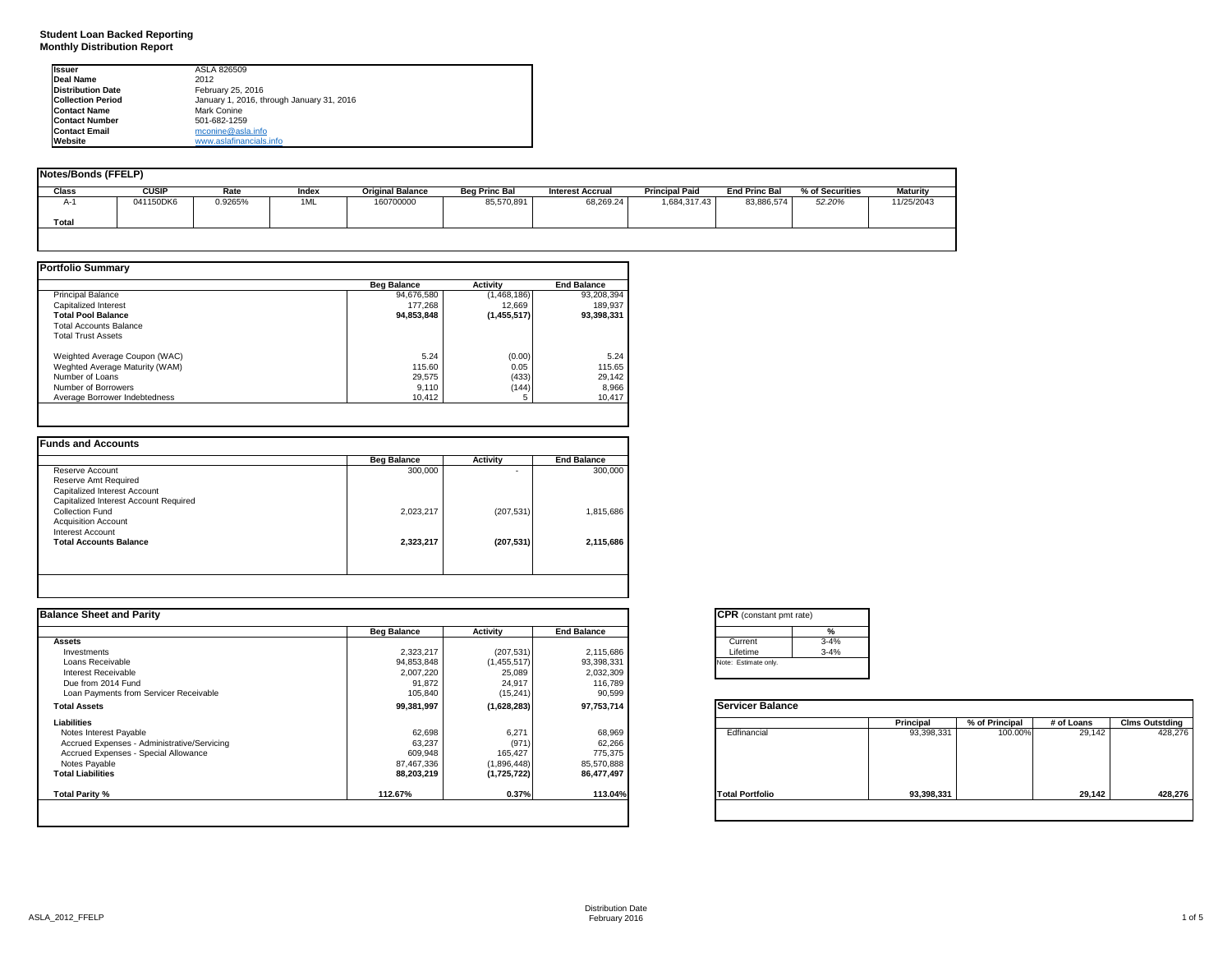**Student Loan Backed Reporting Monthly Distribution Report**

| Issuer                   | ASLA 826509                               |  |
|--------------------------|-------------------------------------------|--|
| <b>Deal Name</b>         | 2012                                      |  |
| <b>Distribution Date</b> | February 25, 2016                         |  |
| <b>Collection Period</b> | January 1, 2016, through January 31, 2016 |  |
| <b>Contact Name</b>      | Mark Conine                               |  |
| <b>Contact Number</b>    | 501-682-1259                              |  |
| <b>Contact Email</b>     | mconine@asla.info                         |  |
| Website                  | www.aslafinancials.info                   |  |

| <b>Notes/Bonds (FFELP)</b> |              |         |       |                         |                      |                         |                       |                      |                 |                 |
|----------------------------|--------------|---------|-------|-------------------------|----------------------|-------------------------|-----------------------|----------------------|-----------------|-----------------|
| Class                      | <b>CUSIP</b> | Rate    | Index | <b>Original Balance</b> | <b>Beg Princ Bal</b> | <b>Interest Accrual</b> | <b>Principal Paid</b> | <b>End Princ Bal</b> | % of Securities | <b>Maturity</b> |
| A-1                        | 041150DK6    | 0.9265% | 1ML   | 160700000               | 85,570,891           | 68,269.24               | 1,684,317.43          | 83,886,574           | 52.20%          | 11/25/2043      |
| Total                      |              |         |       |                         |                      |                         |                       |                      |                 |                 |
|                            |              |         |       |                         |                      |                         |                       |                      |                 |                 |

|                                | <b>Beg Balance</b> | <b>Activity</b> | <b>End Balance</b> |
|--------------------------------|--------------------|-----------------|--------------------|
| <b>Principal Balance</b>       | 94.676.580         | (1,468,186)     | 93,208,394         |
| Capitalized Interest           | 177.268            | 12.669          | 189.937            |
| <b>Total Pool Balance</b>      | 94,853,848         | (1,455,517)     | 93,398,331         |
| <b>Total Accounts Balance</b>  |                    |                 |                    |
| <b>Total Trust Assets</b>      |                    |                 |                    |
| Weighted Average Coupon (WAC)  | 5.24               | (0.00)          | 5.24               |
| Weghted Average Maturity (WAM) | 115.60             | 0.05            | 115.65             |
| Number of Loans                | 29,575             | (433)           | 29,142             |
| Number of Borrowers            | 9,110              | (144)           | 8,966              |
| Average Borrower Indebtedness  | 10,412             |                 | 10,417             |

|                                       | <b>Beg Balance</b> | Activity                 | <b>End Balance</b> |
|---------------------------------------|--------------------|--------------------------|--------------------|
| Reserve Account                       | 300,000            | $\overline{\phantom{a}}$ | 300,000            |
| Reserve Amt Required                  |                    |                          |                    |
| Capitalized Interest Account          |                    |                          |                    |
| Capitalized Interest Account Required |                    |                          |                    |
| Collection Fund                       | 2,023,217          | (207, 531)               | 1,815,686          |
| <b>Acquisition Account</b>            |                    |                          |                    |
| Interest Account                      |                    |                          |                    |
| <b>Total Accounts Balance</b>         | 2,323,217          | (207, 531)               | 2,115,686          |
|                                       |                    |                          |                    |

| <b>Balance Sheet and Parity</b>             |                    |                 |                    | <b>CPR</b> (constant pmt rate) |            |                |            |                       |
|---------------------------------------------|--------------------|-----------------|--------------------|--------------------------------|------------|----------------|------------|-----------------------|
|                                             | <b>Beg Balance</b> | <b>Activity</b> | <b>End Balance</b> |                                |            |                |            |                       |
| Assets                                      |                    |                 |                    | $3 - 4%$<br>Current            |            |                |            |                       |
| Investments                                 | 2,323,217          | (207, 531)      | 2,115,686          | $3 - 4%$<br>Lifetime           |            |                |            |                       |
| Loans Receivable                            | 94,853,848         | (1,455,517)     | 93,398,331         | Note: Estimate only.           |            |                |            |                       |
| Interest Receivable                         | 2,007,220          | 25,089          | 2,032,309          |                                |            |                |            |                       |
| Due from 2014 Fund                          | 91,872             | 24,917          | 116,789            |                                |            |                |            |                       |
| Loan Payments from Servicer Receivable      | 105,840            | (15, 241)       | 90,599             |                                |            |                |            |                       |
| <b>Total Assets</b>                         | 99,381,997         | (1,628,283)     | 97,753,714         | <b>Servicer Balance</b>        |            |                |            |                       |
| Liabilities                                 |                    |                 |                    |                                | Principal  | % of Principal | # of Loans | <b>Clms Outstding</b> |
| Notes Interest Payable                      | 62,698             | 6,271           | 68,969             | Edfinancial                    | 93,398,331 | 100.00%        | 29,142     | 428,276               |
| Accrued Expenses - Administrative/Servicing | 63,237             | (971)           | 62,266             |                                |            |                |            |                       |
| Accrued Expenses - Special Allowance        | 609,948            | 165,427         | 775,375            |                                |            |                |            |                       |
| Notes Payable                               | 87,467,336         | (1,896,448)     | 85,570,888         |                                |            |                |            |                       |
| <b>Total Liabilities</b>                    | 88,203,219         | (1,725,722)     | 86,477,497         |                                |            |                |            |                       |
| Total Parity %                              | 112.67%            | 0.37%           | 113.04%            | <b>Total Portfolio</b>         | 93,398,331 |                | 29,142     | 428,276               |

| <b>CPR</b> (constant pmt rate) |          |  |  |  |  |
|--------------------------------|----------|--|--|--|--|
|                                | %        |  |  |  |  |
| Current                        | $3 - 4%$ |  |  |  |  |
| Lifetime                       | $3 - 4%$ |  |  |  |  |
| Note: Estimate only.           |          |  |  |  |  |

|                        | Principal  | % of Principal | # of Loans | <b>Clms Outstding</b> |
|------------------------|------------|----------------|------------|-----------------------|
| Edfinancial            | 93,398,331 | 100.00%        | 29.142     | 428.276               |
| <b>Total Portfolio</b> | 93,398,331 |                | 29,142     | 428,276               |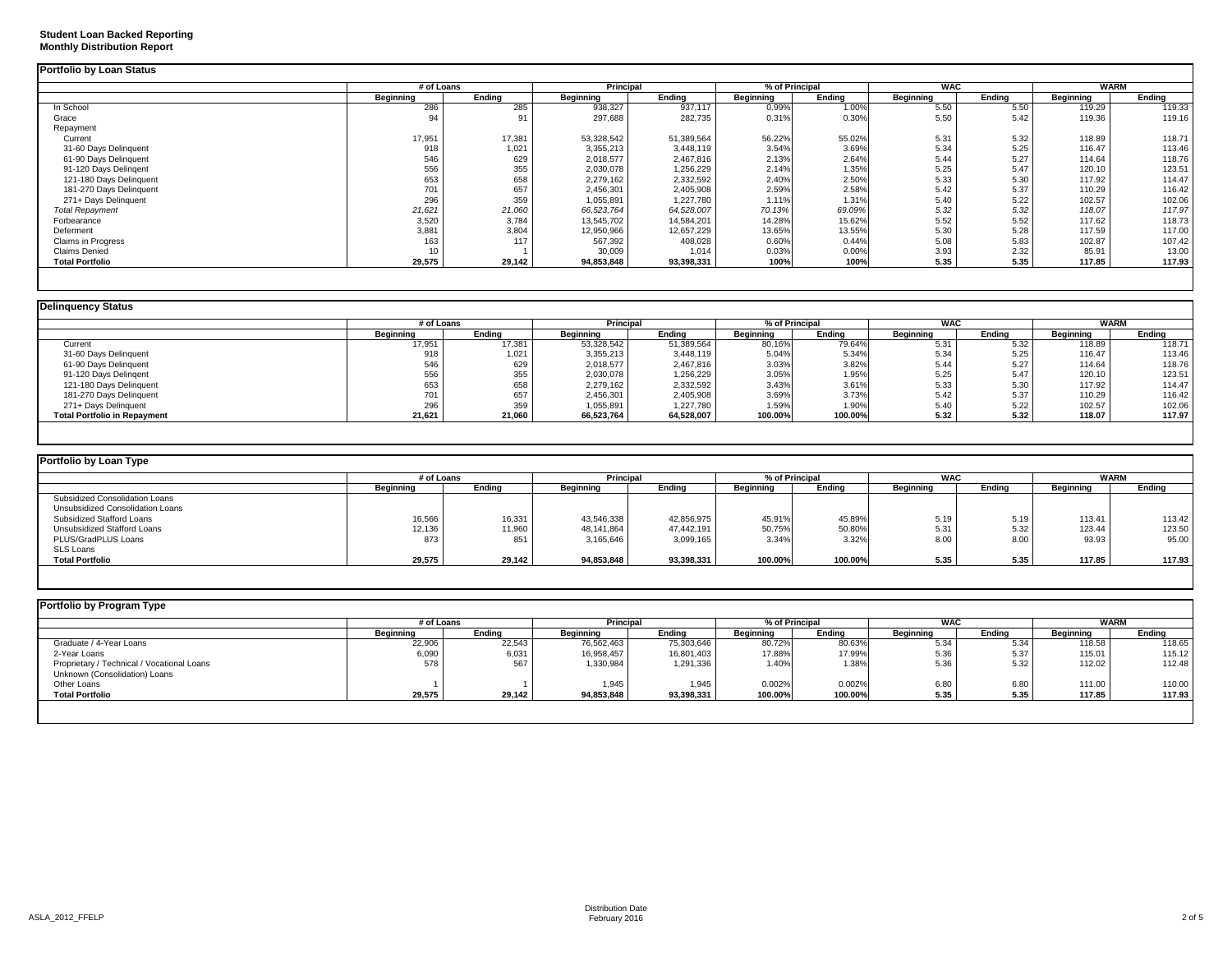|                           |           | # of Loans |            | Principal  |           | % of Principal | <b>WAC</b> |        | <b>WARM</b> |        |
|---------------------------|-----------|------------|------------|------------|-----------|----------------|------------|--------|-------------|--------|
|                           | Beginning | Ending     | Beginning  | Endina     | Beginning | Ending         | Beginning  | Ending | Beginning   | Ending |
| In School                 | 286       | 285        | 938,327    | 937,117    | 0.99%     | 1.00%          | 5.50       | 5.50   | 119.29      | 119.33 |
| Grace                     | 94        | 91         | 297,688    | 282,735    | 0.31%     | 0.30%          | 5.50       | 5.42   | 119.36      | 119.16 |
| Repayment                 |           |            |            |            |           |                |            |        |             |        |
| Current                   | 17,951    | 17,381     | 53,328,542 | 51,389,564 | 56.22%    | 55.02%         | 5.31       | 5.32   | 118.89      | 118.71 |
| 31-60 Days Delinquent     | 918       | 1,021      | 3,355,213  | 3,448,119  | 3.54%     | 3.69%          | 5.34       | 5.25   | 116.47      | 113.46 |
| 61-90 Days Delinquent     | 546       | 629        | 2,018,577  | 2,467,816  | 2.13%     | 2.64%          | 5.44       | 5.27   | 114.64      | 118.76 |
| 91-120 Days Delingent     | 556       | 355        | 2,030,078  | 1,256,229  | 2.14%     | 1.35%          | 5.25       | 5.47   | 120.10      | 123.51 |
| 121-180 Days Delinquent   | 653       | 658        | 2,279,162  | 2,332,592  | 2.40%     | 2.50%          | 5.33       | 5.30   | 117.92      | 114.47 |
| 181-270 Days Delinquent   | 701       | 657        | 2,456,301  | 2,405,908  | 2.59%     | 2.58%          | 5.42       | 5.37   | 110.29      | 116.42 |
| 271+ Days Delinquent      | 296       | 359        | 1,055,891  | 1,227,780  | 1.11%     | 1.31%          | 5.40       | 5.22   | 102.57      | 102.06 |
| <b>Total Repayment</b>    | 21,621    | 21,060     | 66,523,764 | 64,528,007 | 70.13%    | 69.09%         | 5.32       | 5.32   | 118.07      | 117.97 |
| Forbearance               | 3,520     | 3,784      | 13,545,702 | 14,584,201 | 14.28%    | 15.62%         | 5.52       | 5.52   | 117.62      | 118.73 |
| Deferment                 | 3,881     | 3,804      | 12,950,966 | 12,657,229 | 13.65%    | 13.55%         | 5.30       | 5.28   | 117.59      | 117.00 |
| <b>Claims in Progress</b> | 163       | 117        | 567,392    | 408,028    | 0.60%     | 0.44%          | 5.08       | 5.83   | 102.87      | 107.42 |
| <b>Claims Denied</b>      | 10        |            | 30,009     | 1.014      | 0.03%     | 0.00%          | 3.93       | 2.32   | 85.91       | 13.00  |
| <b>Total Portfolio</b>    | 29,575    | 29,142     | 94,853,848 | 93,398,331 | 100%      | 100%           | 5.35       | 5.35   | 117.85      | 117.93 |

| <b>Delinguency Status</b>           |            |        |            |            |                  |         |            |        |             |        |
|-------------------------------------|------------|--------|------------|------------|------------------|---------|------------|--------|-------------|--------|
|                                     | # of Loans |        | Principal  |            | % of Principal   |         | <b>WAC</b> |        | <b>WARM</b> |        |
|                                     | Beainnina  | Endina | Beginning  | Endina     | <b>Beginning</b> | Endina  | Beainnina  | Endina | Beginning   | Endina |
| Current                             | 17,951     | 17,381 | 53,328,542 | 51,389,564 | 80.16%           | 79.64%  | 5.31       | 5.32   | 118.89      | 118.71 |
| 31-60 Days Delinquent               | 918        | 1,021  | 3,355,213  | 3,448,119  | 5.04%            | 5.34%   | 5.34       | 5.25   | 116.47      | 113.46 |
| 61-90 Days Delinquent               | 546        | 629    | 2,018,577  | 2,467,816  | 3.03%            | 3.82%   | 5.44       | 5.27   | 114.64      | 118.76 |
| 91-120 Days Delingent               | 556        | 355    | 2,030,078  | 1,256,229  | 3.05%            | 1.95%   | 5.25       | 5.47   | 120.10      | 123.51 |
| 121-180 Days Delinquent             | 653        | 658    | 2,279,162  | 2,332,592  | 3.43%            | 3.61%   | 5.33       | 5.30   | 117.92      | 114.47 |
| 181-270 Days Delinquent             | 701        | 657    | 2,456,301  | 2,405,908  | 3.69%            | 3.73%   | 5.42       | 5.37   | 110.29      | 116.42 |
| 271+ Days Delinquent                | 296        | 359    | 1,055,891  | 1,227,780  | 1.59%            | 1.90%   | 5.40       | 5.22   | 102.57      | 102.06 |
| <b>Total Portfolio in Repayment</b> | 21,621     | 21,060 | 66,523,764 | 64,528,007 | 100.00%          | 100.00% | 5.32       | 5.32   | 118.07      | 117.97 |

| Portfolio by Loan Type           |                  |        |                  |            |                |         |            |        |                  |        |  |
|----------------------------------|------------------|--------|------------------|------------|----------------|---------|------------|--------|------------------|--------|--|
|                                  | # of Loans       |        | <b>Principal</b> |            | % of Principal |         | <b>WAC</b> |        | <b>WARM</b>      |        |  |
|                                  | <b>Beginning</b> | Endina | <b>Beginning</b> | Endina     | Beginning      | Endina  | Beainnina  | Endina | <b>Beginning</b> | Endina |  |
| Subsidized Consolidation Loans   |                  |        |                  |            |                |         |            |        |                  |        |  |
| Unsubsidized Consolidation Loans |                  |        |                  |            |                |         |            |        |                  |        |  |
| Subsidized Stafford Loans        | 16,566           | 16,331 | 43,546,338       | 42,856,975 | 45.91%         | 45.89%  | 5.19       | 5.19   | 113.41           | 113.42 |  |
| Unsubsidized Stafford Loans      | 12,136           | 11,960 | 48,141,864       | 47,442,191 | 50.75%         | 50.80%  | 5.31       | 5.32   | 123.44           | 123.50 |  |
| PLUS/GradPLUS Loans              | 873              | 851    | 3,165,646        | 3,099,165  | 3.34%          | 3.32%   | 8.00       | 8.00   | 93.93            | 95.00  |  |
| SLS Loans                        |                  |        |                  |            |                |         |            |        |                  |        |  |
| <b>Total Portfolio</b>           | 29,575           | 29,142 | 94,853,848       | 93,398,331 | 100.00%        | 100.00% | 5.35       | 5.35   | 117.85           | 117.93 |  |

|                                            | # of Loans |        | Principal  |            | % of Principal |         | <b>WAC</b>       |        | <b>WARM</b> |        |
|--------------------------------------------|------------|--------|------------|------------|----------------|---------|------------------|--------|-------------|--------|
|                                            | Beginning  | Endina | Beginning  | Ending     | Beginning      | Ending  | <b>Beginning</b> | Ending | Beginning   | Endina |
| Graduate / 4-Year Loans                    | 22,906     | 22,543 | 76,562,463 | 75,303,646 | 80.72%         | 80.63%  | 5.34             | 5.34   | 118.58      | 118.65 |
| 2-Year Loans                               | 6,090      | 6,031  | 16,958,457 | 16,801,403 | 17.88%         | 17.99%  | 5.36             | 5.37   | 115.01      | 115.12 |
| Proprietary / Technical / Vocational Loans | 578        | 567    | 1,330,984  | 1,291,336  | 1.40%          | 1.38%   | 5.36             | 5.32   | 112.02      | 112.48 |
| Unknown (Consolidation) Loans              |            |        |            |            |                |         |                  |        |             |        |
| Other Loans                                |            |        | 1,945      | 1,945      | 0.002%         | 0.002%  | 6.80             | 6.80   | 111.00      | 110.00 |
| <b>Total Portfolio</b>                     | 29,575     | 29,142 | 94,853,848 | 93,398,331 | 100.00%        | 100.00% | 5.35             | 5.35   | 117.85      | 117.93 |

**Student Loan Backed Reporting Monthly Distribution Report**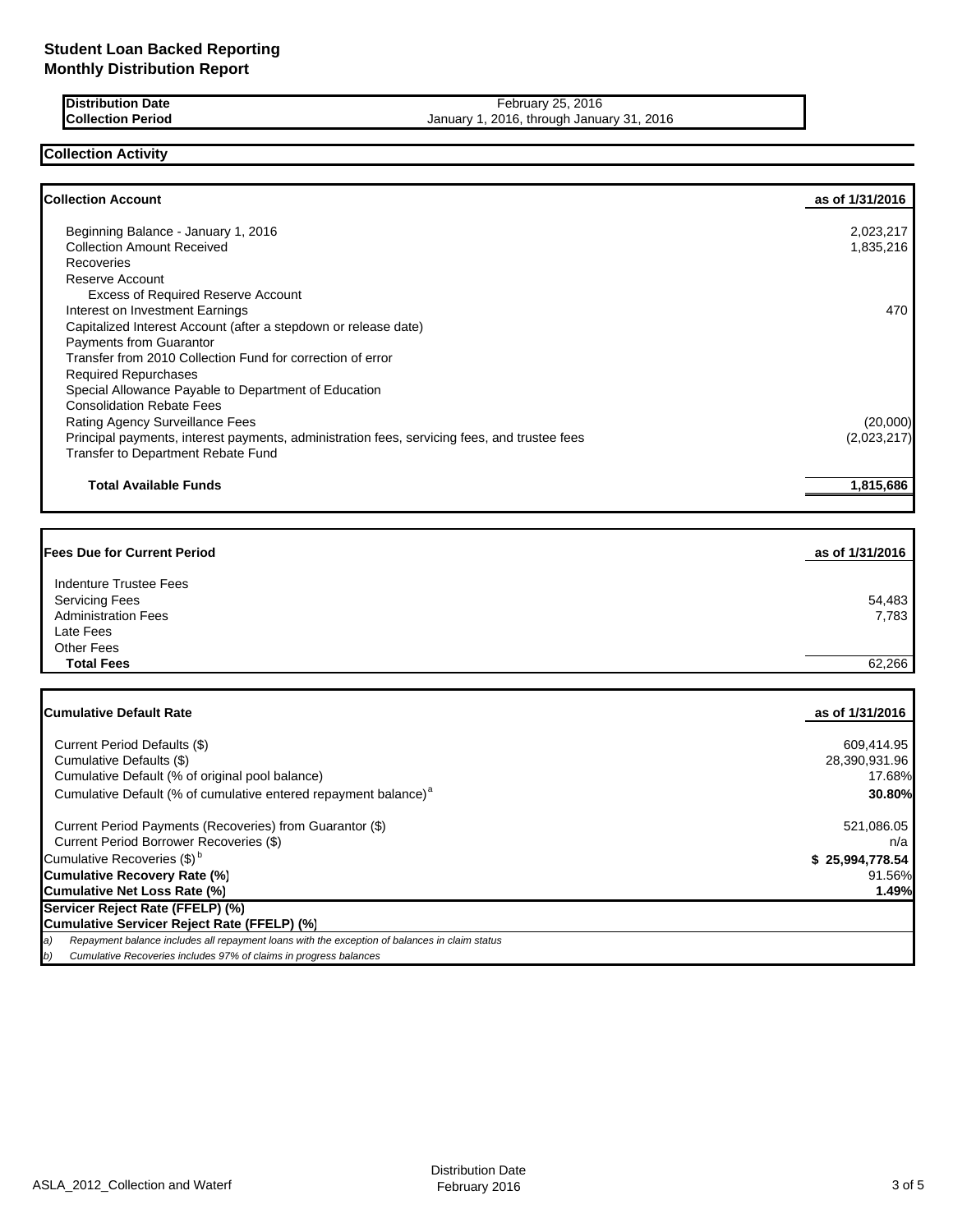| <b>IDistribution Date</b> | February 25, 2016                         |
|---------------------------|-------------------------------------------|
| <b>Collection Period</b>  | January 1, 2016, through January 31, 2016 |

### **Collection Activity**

| <b>Collection Account</b><br>Beginning Balance - January 1, 2016<br><b>Collection Amount Received</b><br>Recoveries<br><b>Reserve Account</b><br><b>Excess of Required Reserve Account</b><br>Interest on Investment Earnings<br>Capitalized Interest Account (after a stepdown or release date) | as of 1/31/2016<br>2,023,217<br>1,835,216<br>470 |
|--------------------------------------------------------------------------------------------------------------------------------------------------------------------------------------------------------------------------------------------------------------------------------------------------|--------------------------------------------------|
|                                                                                                                                                                                                                                                                                                  |                                                  |
|                                                                                                                                                                                                                                                                                                  |                                                  |
|                                                                                                                                                                                                                                                                                                  |                                                  |
|                                                                                                                                                                                                                                                                                                  |                                                  |
|                                                                                                                                                                                                                                                                                                  |                                                  |
|                                                                                                                                                                                                                                                                                                  |                                                  |
|                                                                                                                                                                                                                                                                                                  |                                                  |
|                                                                                                                                                                                                                                                                                                  |                                                  |
| Payments from Guarantor                                                                                                                                                                                                                                                                          |                                                  |
| Transfer from 2010 Collection Fund for correction of error                                                                                                                                                                                                                                       |                                                  |
| <b>Required Repurchases</b><br>Special Allowance Payable to Department of Education                                                                                                                                                                                                              |                                                  |
| <b>Consolidation Rebate Fees</b>                                                                                                                                                                                                                                                                 |                                                  |
| Rating Agency Surveillance Fees                                                                                                                                                                                                                                                                  | (20,000)                                         |
| Principal payments, interest payments, administration fees, servicing fees, and trustee fees                                                                                                                                                                                                     | (2,023,217)                                      |
| Transfer to Department Rebate Fund                                                                                                                                                                                                                                                               |                                                  |
|                                                                                                                                                                                                                                                                                                  |                                                  |
| <b>Total Available Funds</b>                                                                                                                                                                                                                                                                     | 1,815,686                                        |
|                                                                                                                                                                                                                                                                                                  |                                                  |
| <b>Fees Due for Current Period</b>                                                                                                                                                                                                                                                               | as of 1/31/2016                                  |
| <b>Indenture Trustee Fees</b>                                                                                                                                                                                                                                                                    |                                                  |
| <b>Servicing Fees</b>                                                                                                                                                                                                                                                                            | 54,483                                           |
| <b>Administration Fees</b>                                                                                                                                                                                                                                                                       | 7,783                                            |
| Late Fees                                                                                                                                                                                                                                                                                        |                                                  |
| <b>Other Fees</b>                                                                                                                                                                                                                                                                                |                                                  |
| <b>Total Fees</b>                                                                                                                                                                                                                                                                                | 62,266                                           |
|                                                                                                                                                                                                                                                                                                  |                                                  |
| <b>Cumulative Default Rate</b>                                                                                                                                                                                                                                                                   | as of 1/31/2016                                  |
| Current Period Defaults (\$)                                                                                                                                                                                                                                                                     | 609,414.95                                       |
| Cumulative Defaults (\$)                                                                                                                                                                                                                                                                         | 28,390,931.96                                    |
| Cumulative Default (% of original pool balance)                                                                                                                                                                                                                                                  | 17.68%                                           |
| Cumulative Default (% of cumulative entered repayment balance) <sup>a</sup>                                                                                                                                                                                                                      | 30.80%                                           |
| Current Period Payments (Recoveries) from Guarantor (\$)                                                                                                                                                                                                                                         | 521,086.05                                       |
| Current Period Borrower Recoveries (\$)                                                                                                                                                                                                                                                          | n/a                                              |
| Cumulative Recoveries (\$) <sup>b</sup>                                                                                                                                                                                                                                                          | \$25,994,778.54                                  |
| <b>Cumulative Recovery Rate (%)</b>                                                                                                                                                                                                                                                              | 91.56%                                           |
| Cumulative Net Loss Rate (%)                                                                                                                                                                                                                                                                     | 1.49%                                            |
| Servicer Reject Rate (FFELP) (%)                                                                                                                                                                                                                                                                 |                                                  |
| Cumulative Servicer Reject Rate (FFELP) (%)<br>Repayment balance includes all repayment loans with the exception of balances in claim status<br>a)                                                                                                                                               |                                                  |
| Cumulative Recoveries includes 97% of claims in progress balances<br>b)                                                                                                                                                                                                                          |                                                  |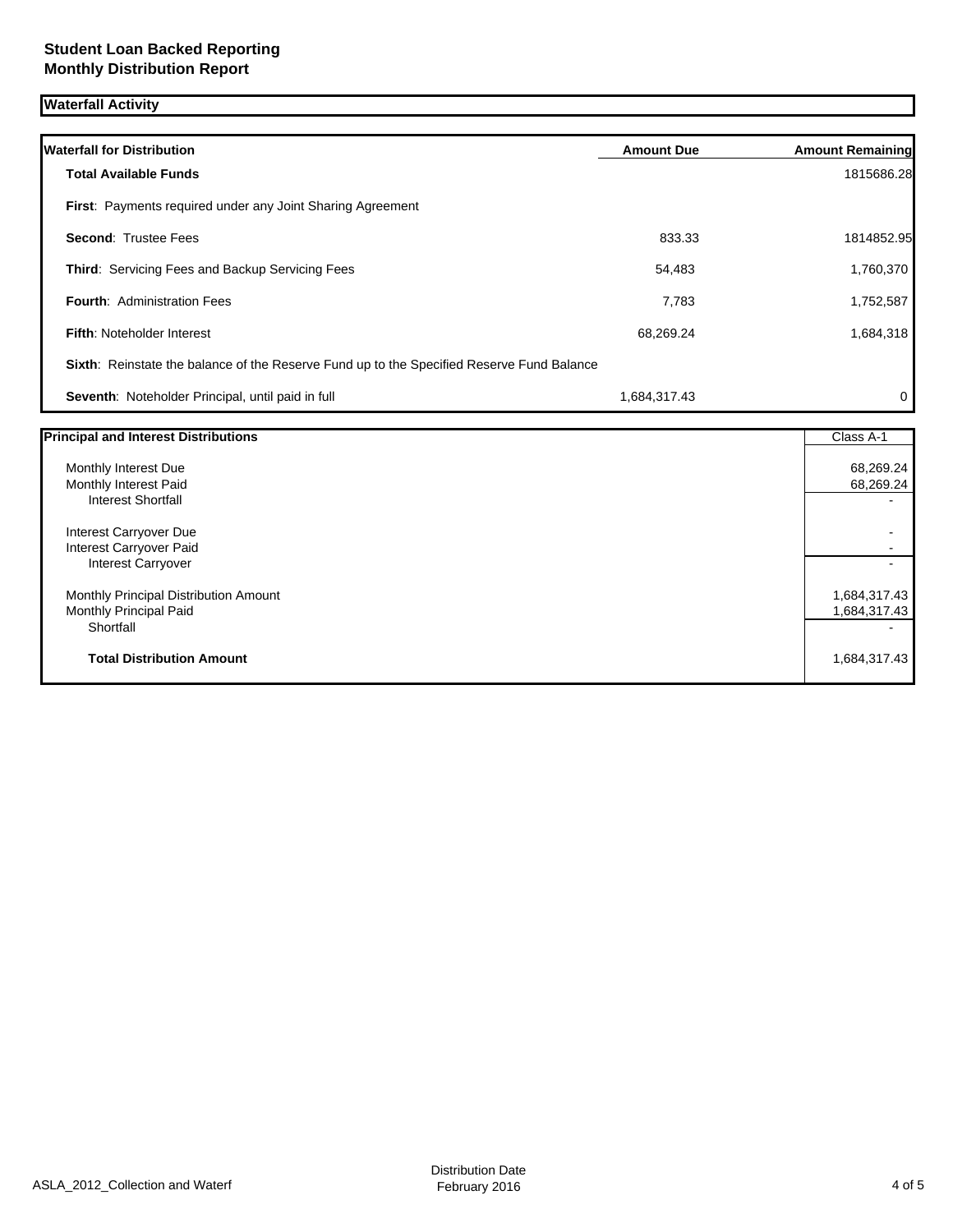## **Student Loan Backed Reporting Monthly Distribution Report**

# **Waterfall Activity**

| <b>Waterfall for Distribution</b>                                                         | <b>Amount Due</b> | <b>Amount Remaining</b>               |
|-------------------------------------------------------------------------------------------|-------------------|---------------------------------------|
| <b>Total Available Funds</b>                                                              |                   | 1815686.28                            |
| <b>First:</b> Payments required under any Joint Sharing Agreement                         |                   |                                       |
| <b>Second: Trustee Fees</b>                                                               | 833.33            | 1814852.95                            |
| <b>Third: Servicing Fees and Backup Servicing Fees</b>                                    | 54,483            | 1,760,370                             |
| <b>Fourth: Administration Fees</b>                                                        | 7,783             | 1,752,587                             |
| <b>Fifth: Noteholder Interest</b>                                                         | 68,269.24         | 1,684,318                             |
| Sixth: Reinstate the balance of the Reserve Fund up to the Specified Reserve Fund Balance |                   |                                       |
| Seventh: Noteholder Principal, until paid in full                                         | 1,684,317.43      | 0                                     |
| <b>Principal and Interest Distributions</b>                                               |                   | $Cl$ $\alpha$ $\beta$ $\beta$ $\beta$ |

| <b>Principal and Interest Distributions</b>   | Class A-1              |
|-----------------------------------------------|------------------------|
| Monthly Interest Due<br>Monthly Interest Paid | 68,269.24<br>68,269.24 |
| <b>Interest Shortfall</b>                     |                        |
| Interest Carryover Due                        |                        |
| Interest Carryover Paid                       |                        |
| <b>Interest Carryover</b>                     |                        |
| Monthly Principal Distribution Amount         | 1,684,317.43           |
| Monthly Principal Paid                        | 1,684,317.43           |
| Shortfall                                     |                        |
| <b>Total Distribution Amount</b>              | 1,684,317.43           |
|                                               |                        |